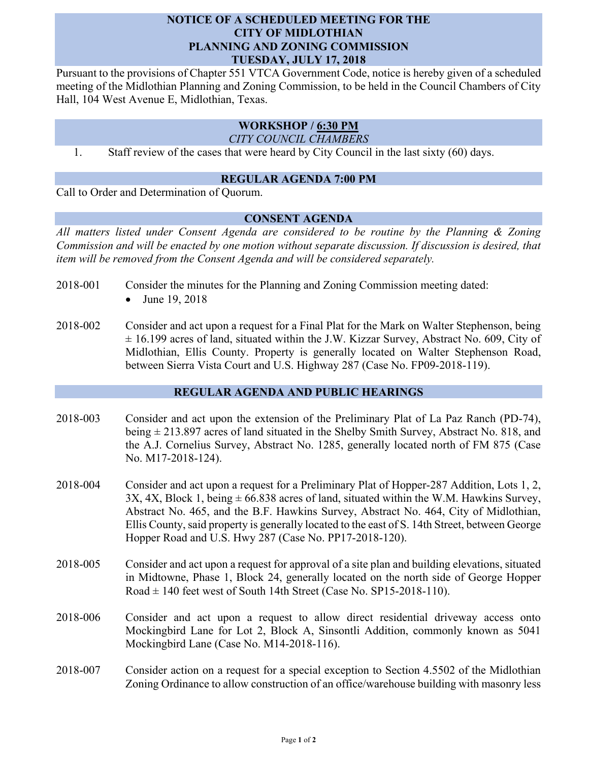## **NOTICE OF A SCHEDULED MEETING FOR THE CITY OF MIDLOTHIAN PLANNING AND ZONING COMMISSION TUESDAY, JULY 17, 2018**

Pursuant to the provisions of Chapter 551 VTCA Government Code, notice is hereby given of a scheduled meeting of the Midlothian Planning and Zoning Commission, to be held in the Council Chambers of City Hall, 104 West Avenue E, Midlothian, Texas.

## **WORKSHOP / 6:30 PM**

*CITY COUNCIL CHAMBERS*

1. Staff review of the cases that were heard by City Council in the last sixty (60) days.

#### **REGULAR AGENDA 7:00 PM**

Call to Order and Determination of Quorum.

### **CONSENT AGENDA**

*All matters listed under Consent Agenda are considered to be routine by the Planning & Zoning Commission and will be enacted by one motion without separate discussion. If discussion is desired, that item will be removed from the Consent Agenda and will be considered separately.*

- 2018-001 Consider the minutes for the Planning and Zoning Commission meeting dated:
	- June 19, 2018
- 2018-002 Consider and act upon a request for a Final Plat for the Mark on Walter Stephenson, being  $\pm$  16.199 acres of land, situated within the J.W. Kizzar Survey, Abstract No. 609, City of Midlothian, Ellis County. Property is generally located on Walter Stephenson Road, between Sierra Vista Court and U.S. Highway 287 (Case No. FP09-2018-119).

# **REGULAR AGENDA AND PUBLIC HEARINGS**

- 2018-003 Consider and act upon the extension of the Preliminary Plat of La Paz Ranch (PD-74), being  $\pm$  213.897 acres of land situated in the Shelby Smith Survey, Abstract No. 818, and the A.J. Cornelius Survey, Abstract No. 1285, generally located north of FM 875 (Case No. M17-2018-124).
- 2018-004 Consider and act upon a request for a Preliminary Plat of Hopper-287 Addition, Lots 1, 2, 3X, 4X, Block 1, being  $\pm$  66.838 acres of land, situated within the W.M. Hawkins Survey, Abstract No. 465, and the B.F. Hawkins Survey, Abstract No. 464, City of Midlothian, Ellis County, said property is generally located to the east of S. 14th Street, between George Hopper Road and U.S. Hwy 287 (Case No. PP17-2018-120).
- 2018-005 Consider and act upon a request for approval of a site plan and building elevations, situated in Midtowne, Phase 1, Block 24, generally located on the north side of George Hopper Road  $\pm$  140 feet west of South 14th Street (Case No. SP15-2018-110).
- 2018-006 Consider and act upon a request to allow direct residential driveway access onto Mockingbird Lane for Lot 2, Block A, Sinsontli Addition, commonly known as 5041 Mockingbird Lane (Case No. M14-2018-116).
- 2018-007 Consider action on a request for a special exception to Section 4.5502 of the Midlothian Zoning Ordinance to allow construction of an office/warehouse building with masonry less